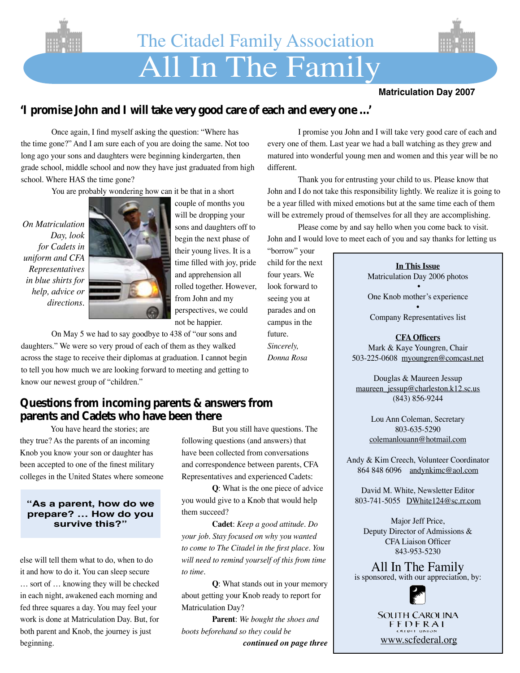

#### **Matriculation Day 2007**

## **'I promise John and I will take very good care of each and every one …'**

 Once again, I find myself asking the question: "Where has the time gone?" And I am sure each of you are doing the same. Not too long ago your sons and daughters were beginning kindergarten, then grade school, middle school and now they have just graduated from high school. Where HAS the time gone?

 You are probably wondering how can it be that in a short

*On Matriculation Day, look for Cadets in uniform and CFA Representatives in blue shirts for help, advice or directions.*



couple of months you will be dropping your sons and daughters off to begin the next phase of their young lives. It is a time filled with joy, pride and apprehension all rolled together. However, from John and my perspectives, we could not be happier.

 On May 5 we had to say goodbye to 438 of "our sons and daughters." We were so very proud of each of them as they walked across the stage to receive their diplomas at graduation. I cannot begin to tell you how much we are looking forward to meeting and getting to know our newest group of "children."

### **Questions from incoming parents & answers from parents and Cadets who have been there**

 You have heard the stories; are they true? As the parents of an incoming Knob you know your son or daughter has been accepted to one of the finest military colleges in the United States where someone

#### **"As a parent, how do we prepare? … How do you survive this?"**

else will tell them what to do, when to do it and how to do it. You can sleep secure … sort of … knowing they will be checked in each night, awakened each morning and fed three squares a day. You may feel your work is done at Matriculation Day. But, for both parent and Knob, the journey is just beginning.

 But you still have questions. The following questions (and answers) that have been collected from conversations and correspondence between parents, CFA Representatives and experienced Cadets:

**Q**: What is the one piece of advice you would give to a Knob that would help them succeed?

**Cadet**: *Keep a good attitude. Do your job. Stay focused on why you wanted to come to The Citadel in the first place. You will need to remind yourself of this from time to time.*

**Q**: What stands out in your memory about getting your Knob ready to report for Matriculation Day?

**Parent**: *We bought the shoes and boots beforehand so they could be continued on page three*

 I promise you John and I will take very good care of each and every one of them. Last year we had a ball watching as they grew and matured into wonderful young men and women and this year will be no different.

 Thank you for entrusting your child to us. Please know that John and I do not take this responsibility lightly. We realize it is going to be a year filled with mixed emotions but at the same time each of them will be extremely proud of themselves for all they are accomplishing.

 Please come by and say hello when you come back to visit. John and I would love to meet each of you and say thanks for letting us

"borrow" your child for the next four years. We look forward to seeing you at parades and on campus in the future. *Sincerely, Donna Rosa*

#### **In This Issue** Matriculation Day 2006 photos

•

One Knob mother's experience

• Company Representatives list

#### **CFA Officers**

Mark & Kaye Youngren, Chair 503-225-0608 myoungren@comcast.net

Douglas & Maureen Jessup maureen\_jessup@charleston.k12.sc.us (843) 856-9244

> Lou Ann Coleman, Secretary 803-635-5290 colemanlouann@hotmail.com

Andy & Kim Creech, Volunteer Coordinator 864 848 6096 andynkimc@aol.com

David M. White, Newsletter Editor 803-741-5055 DWhite124@sc.rr.com

Major Jeff Price, Deputy Director of Admissions & CFA Liaison Officer 843-953-5230

All In The Family is sponsored, with our appreciation, by:



**SOUTH CAROLINA** FEDERAL www.scfederal.org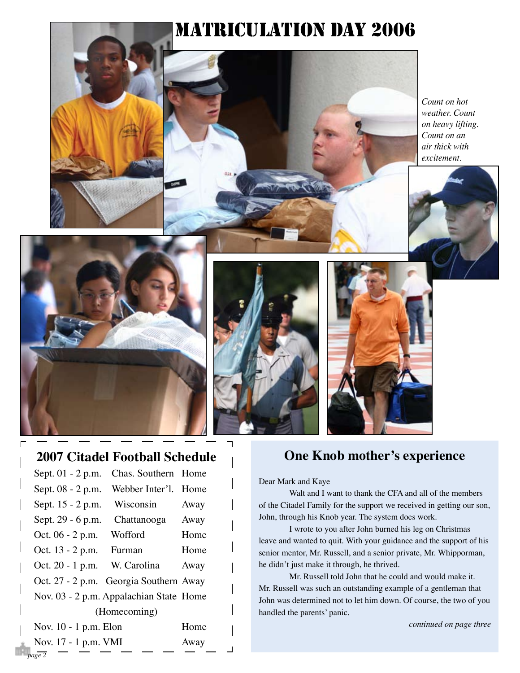# MATRICULATION DAY 2006

*Count on hot weather. Count on heavy lifting. Count on an air thick with excitement.*



# **2007 Citadel Football Schedule**

| Sept. 01 - 2 p.m.                       | Chas. Southern Home               |      |  |  |
|-----------------------------------------|-----------------------------------|------|--|--|
|                                         | Sept. 08 - 2 p.m. Webber Inter'l. | Home |  |  |
| Sept. 15 - 2 p.m.                       | Wisconsin                         | Away |  |  |
| Sept. 29 - 6 p.m. Chattanooga           |                                   | Away |  |  |
| Oct. 06 - 2 p.m. Wofford                |                                   | Home |  |  |
| Oct. 13 - 2 p.m. Furman                 |                                   | Home |  |  |
| Oct. 20 - 1 p.m. W. Carolina            |                                   | Away |  |  |
| Oct. 27 - 2 p.m. Georgia Southern Away  |                                   |      |  |  |
| Nov. 03 - 2 p.m. Appalachian State Home |                                   |      |  |  |
| (Homecoming)                            |                                   |      |  |  |
| Nov. 10 - 1 p.m. Elon                   |                                   | Home |  |  |
| Nov. 17 - 1 p.m. VMI                    | Away                              |      |  |  |

*page 2*

# **One Knob mother's experience**

Dear Mark and Kaye

 Walt and I want to thank the CFA and all of the members of the Citadel Family for the support we received in getting our son, John, through his Knob year. The system does work.

 I wrote to you after John burned his leg on Christmas leave and wanted to quit. With your guidance and the support of his senior mentor, Mr. Russell, and a senior private, Mr. Whipporman, he didn't just make it through, he thrived.

 Mr. Russell told John that he could and would make it. Mr. Russell was such an outstanding example of a gentleman that John was determined not to let him down. Of course, the two of you handled the parents' panic.

*continued on page three*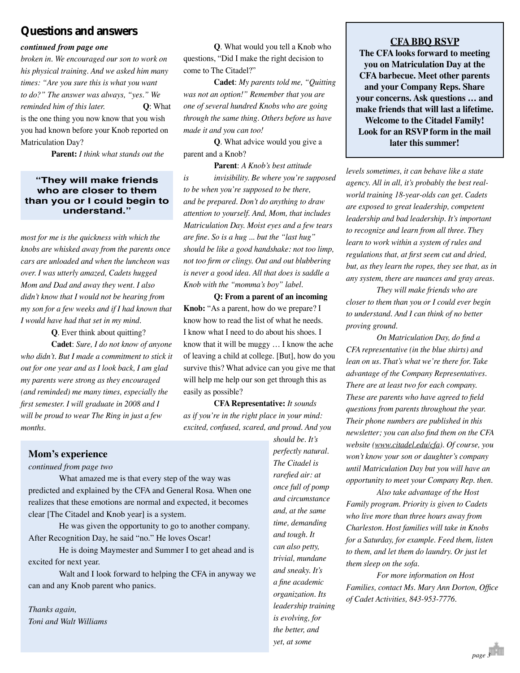## **Questions and answers**

#### *continued from page one*

*broken in. We encouraged our son to work on his physical training. And we asked him many times: "Are you sure this is what you want to do?" The answer was always, "yes." We reminded him of this later.* **Q**: What is the one thing you now know that you wish you had known before your Knob reported on Matriculation Day?

**Parent:** *I think what stands out the* 

#### **"They will make friends who are closer to them than you or I could begin to understand."**

*most for me is the quickness with which the knobs are whisked away from the parents once cars are unloaded and when the luncheon was over. I was utterly amazed, Cadets hugged Mom and Dad and away they went. I also didn't know that I would not be hearing from my son for a few weeks and if I had known that I would have had that set in my mind.*

**Q**. Ever think about quitting?

**Cadet**: *Sure, I do not know of anyone who didn't. But I made a commitment to stick it out for one year and as I look back, I am glad my parents were strong as they encouraged (and reminded) me many times, especially the first semester. I will graduate in 2008 and I will be proud to wear The Ring in just a few months.*

**Q**. What would you tell a Knob who questions, "Did I make the right decision to come to The Citadel?"

**Cadet**: *My parents told me, "Quitting was not an option!" Remember that you are one of several hundred Knobs who are going through the same thing. Others before us have made it and you can too!*

**Q**. What advice would you give a parent and a Knob?

**Parent**: *A Knob's best attitude is invisibility. Be where you're supposed to be when you're supposed to be there, and be prepared. Don't do anything to draw attention to yourself. And, Mom, that includes Matriculation Day. Moist eyes and a few tears are fine. So is a hug ... but the "last hug" should be like a good handshake: not too limp, not too firm or clingy. Out and out blubbering is never a good idea. All that does is saddle a Knob with the "momma's boy" label.*

**Q: From a parent of an incoming Knob:** "As a parent, how do we prepare? I know how to read the list of what he needs. I know what I need to do about his shoes. I know that it will be muggy … I know the ache of leaving a child at college. [But], how do you survive this? What advice can you give me that will help me help our son get through this as easily as possible?

**CFA Representative:** *It sounds as if you're in the right place in your mind: excited, confused, scared, and proud. And you* 

#### **Mom's experience**

#### *continued from page two*

 What amazed me is that every step of the way was predicted and explained by the CFA and General Rosa. When one realizes that these emotions are normal and expected, it becomes clear [The Citadel and Knob year] is a system.

 He was given the opportunity to go to another company. After Recognition Day, he said "no." He loves Oscar!

 He is doing Maymester and Summer I to get ahead and is excited for next year.

 Walt and I look forward to helping the CFA in anyway we can and any Knob parent who panics.

*Thanks again, Toni and Walt Williams* *should be. It's perfectly natural. The Citadel is rarefied air: at once full of pomp and circumstance and, at the same time, demanding and tough. It can also petty, trivial, mundane and sneaky. It's a fine academic organization. Its leadership training is evolving, for the better, and yet, at some* 

#### **CFA BBQ RSVP**

**The CFA looks forward to meeting you on Matriculation Day at the CFA barbecue. Meet other parents and your Company Reps. Share your concerns. Ask questions … and make friends that will last a lifetime. Welcome to the Citadel Family! Look for an RSVP form in the mail later this summer!**

*levels sometimes, it can behave like a state agency. All in all, it's probably the best realworld training 18-year-olds can get. Cadets are exposed to great leadership, competent leadership and bad leadership. It's important to recognize and learn from all three. They learn to work within a system of rules and regulations that, at first seem cut and dried, but, as they learn the ropes, they see that, as in any system, there are nuances and gray areas.* 

*They will make friends who are closer to them than you or I could ever begin to understand. And I can think of no better proving ground.*

*On Matriculation Day, do find a CFA representative (in the blue shirts) and lean on us. That's what we're there for. Take advantage of the Company Representatives. There are at least two for each company. These are parents who have agreed to field questions from parents throughout the year. Their phone numbers are published in this newsletter; you can also find them on the CFA website (www.citadel.edu/cfa). Of course, you won't know your son or daughter's company until Matriculation Day but you will have an opportunity to meet your Company Rep. then.* 

*Also take advantage of the Host Family program. Priority is given to Cadets who live more than three hours away from Charleston. Host families will take in Knobs for a Saturday, for example. Feed them, listen to them, and let them do laundry. Or just let them sleep on the sofa.* 

*For more information on Host Families, contact Ms. Mary Ann Dorton, Office of Cadet Activities, 843-953-7776.*